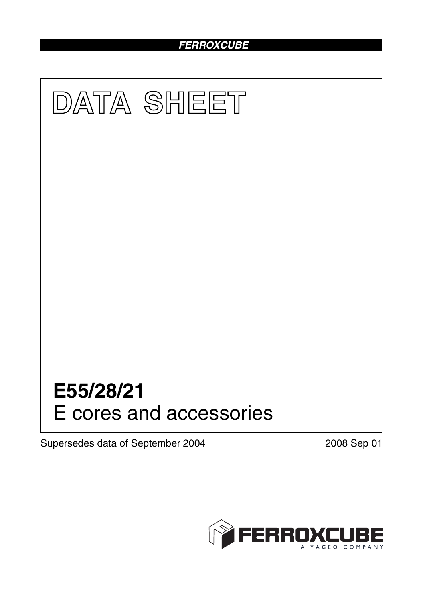# *FERROXCUBE*



Supersedes data of September 2004 2008 Sep 01

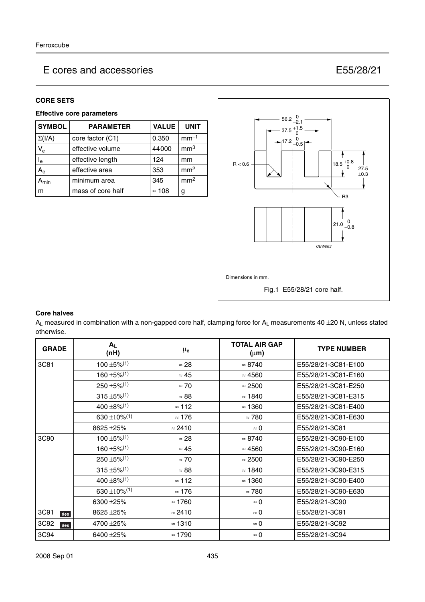### **CORE SETS**

### **Effective core parameters**

| <b>SYMBOL</b>    | <b>PARAMETER</b>  | <b>VALUE</b>  | <b>UNIT</b>     |
|------------------|-------------------|---------------|-----------------|
| $\Sigma(I/A)$    | core factor (C1)  | 0.350         | $mm-1$          |
| $V_{e}$          | effective volume  | 44000         | mm <sup>3</sup> |
| $I_e$            | effective length  | 124           | mm              |
| $A_{e}$          | effective area    | 353           | mm <sup>2</sup> |
| $A_{\text{min}}$ | minimum area      | 345           | mm <sup>2</sup> |
| m                | mass of core half | $\approx$ 108 | g               |



### **Core halves**

 $A_L$  measured in combination with a non-gapped core half, clamping force for  $A_L$  measurements 40  $\pm$ 20 N, unless stated otherwise.

| <b>GRADE</b>     | $A_L$<br>(nH)                         | $\mu_{\mathbf{e}}$ | <b>TOTAL AIR GAP</b><br>$(\mu m)$ | <b>TYPE NUMBER</b>  |
|------------------|---------------------------------------|--------------------|-----------------------------------|---------------------|
| 3C81             | $100 \pm 5\%$ <sup>(1)</sup>          | $\approx 28$       | $\approx 8740$                    | E55/28/21-3C81-E100 |
|                  | $160 + 5\%/1$                         | $\approx 45$       | $\approx 4560$                    | E55/28/21-3C81-E160 |
|                  | $250 \pm 5\%$ <sup>(1)</sup>          | $\approx 70$       | $\approx 2500$                    | E55/28/21-3C81-E250 |
|                  | $315 \pm 5\%/1$                       | $\approx 88$       | $\approx$ 1840                    | E55/28/21-3C81-E315 |
|                  | $400 \pm 8\%/1$                       | $\approx$ 112      | $\approx$ 1360                    | E55/28/21-3C81-E400 |
|                  | 630 ± 10% <sup><math>(1)</math></sup> | $\approx 176$      | $\approx 780$                     | E55/28/21-3C81-E630 |
|                  | 8625 ± 25%                            | $\approx$ 2410     | $\approx 0$                       | E55/28/21-3C81      |
| 3C <sub>90</sub> | $100 \pm 5\%$ <sup>(1)</sup>          | $\approx 28$       | $\approx 8740$                    | E55/28/21-3C90-E100 |
|                  | $160 \pm 5\%$ <sup>(1)</sup>          | $\approx 45$       | $\approx 4560$                    | E55/28/21-3C90-E160 |
|                  | $250 \pm 5\%$ <sup>(1)</sup>          | $\approx 70$       | $\approx 2500$                    | E55/28/21-3C90-E250 |
|                  | $315 \pm 5\%$ <sup>(1)</sup>          | $\approx 88$       | $\approx$ 1840                    | E55/28/21-3C90-E315 |
|                  | $400 \pm 8\%/1$                       | $\approx$ 112      | $\approx$ 1360                    | E55/28/21-3C90-E400 |
|                  | 630 ±10% <sup>(1)</sup>               | $\approx 176$      | $\approx 780$                     | E55/28/21-3C90-E630 |
|                  | 6300 ± 25%                            | $\approx 1760$     | $\approx 0$                       | E55/28/21-3C90      |
| 3C91<br>des      | 8625 ± 25%                            | $\approx$ 2410     | $\approx 0$                       | E55/28/21-3C91      |
| 3C92<br>des      | 4700 ± 25%                            | $\approx$ 1310     | $\approx 0$                       | E55/28/21-3C92      |
| 3C94             | 6400 ±25%                             | $\approx$ 1790     | $\approx 0$                       | E55/28/21-3C94      |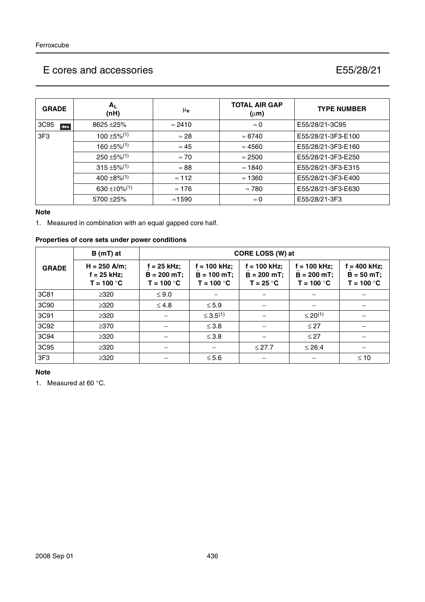| <b>GRADE</b> | $A_{L}$<br>(nH)                       | μ <sub>e</sub> | <b>TOTAL AIR GAP</b><br>$(\mu m)$ | <b>TYPE NUMBER</b> |
|--------------|---------------------------------------|----------------|-----------------------------------|--------------------|
| 3C95<br>des  | $8625 + 25%$                          | $\approx$ 2410 | $\approx 0$                       | E55/28/21-3C95     |
| 3F3          | $100 \pm 5\%$ <sup>(1)</sup>          | $\approx 28$   | $\approx 8740$                    | E55/28/21-3F3-E100 |
|              | $160 \pm 5\%$ <sup>(1)</sup>          | $\approx 45$   | $\approx 4560$                    | E55/28/21-3F3-E160 |
|              | $250 \pm 5\%/1$                       | $\approx 70$   | $\approx 2500$                    | E55/28/21-3F3-E250 |
|              | $315 \pm 5\%/1$                       | $\approx 88$   | $\approx$ 1840                    | E55/28/21-3F3-E315 |
|              | $400 \pm 8\%/1$                       | $\approx$ 112  | $\approx$ 1360                    | E55/28/21-3F3-E400 |
|              | 630 ± 10% <sup><math>(1)</math></sup> | $\approx 176$  | $\approx 780$                     | E55/28/21-3F3-E630 |
|              | 5700 ± 25%                            | $\approx$ 1590 | $\approx 0$                       | E55/28/21-3F3      |

### **Note**

1. Measured in combination with an equal gapped core half.

### **Properties of core sets under power conditions**

|              | $B(mT)$ at                                      |                                                | CORE LOSS (W) at                              |                                            |                                               |                                            |  |  |
|--------------|-------------------------------------------------|------------------------------------------------|-----------------------------------------------|--------------------------------------------|-----------------------------------------------|--------------------------------------------|--|--|
| <b>GRADE</b> | $H = 250$ A/m;<br>$f = 25$ kHz;<br>$T = 100 °C$ | $f = 25$ kHz;<br>$B = 200 mT;$<br>$T = 100 °C$ | $= 100$ kHz;<br>$B = 100 mT;$<br>$T = 100 °C$ | = 100 kHz;<br>$B = 200$ mT;<br>$T = 25 °C$ | $= 100$ kHz;<br>$B = 200 mT;$<br>$T = 100 °C$ | = 400 kHz;<br>$B = 50 mT;$<br>$T = 100 °C$ |  |  |
| 3C81         | $\geq 320$                                      | $\leq 9.0$                                     |                                               |                                            |                                               |                                            |  |  |
| 3C90         | $\geq 320$                                      | $\leq 4.8$                                     | $\leq 5.9$                                    |                                            |                                               |                                            |  |  |
| 3C91         | $\geq 320$                                      |                                                | $\leq 3.5^{(1)}$                              |                                            | $\leq 20^{(1)}$                               |                                            |  |  |
| 3C92         | $\geq$ 370                                      |                                                | $\leq 3.8$                                    |                                            | $\leq$ 27                                     |                                            |  |  |
| 3C94         | $\geq 320$                                      |                                                | $\leq 3.8$                                    |                                            | $\leq$ 27                                     |                                            |  |  |
| 3C95         | $\geq 320$                                      |                                                |                                               | $≤ 27.7$                                   | $\leq 26.4$                                   |                                            |  |  |
| 3F3          | $\geq 320$                                      |                                                | $\leq 5.6$                                    |                                            |                                               | $\leq 10$                                  |  |  |

### **Note**

1. Measured at 60 °C.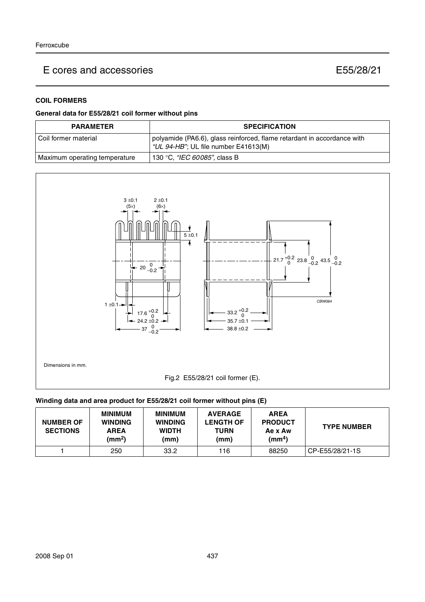### **COIL FORMERS**

### **General data for E55/28/21 coil former without pins**

| <b>PARAMETER</b>              | <b>SPECIFICATION</b>                                                                                            |
|-------------------------------|-----------------------------------------------------------------------------------------------------------------|
| l Coil former material        | polyamide (PA6.6), glass reinforced, flame retardant in accordance with<br>"UL 94-HB"; UL file number E41613(M) |
| Maximum operating temperature | 130 °C, <i>"IEC 60085"</i> , class B                                                                            |



### **Winding data and area product for E55/28/21 coil former without pins (E)**

| <b>NUMBER OF</b><br><b>SECTIONS</b> | <b>MINIMUM</b><br><b>WINDING</b><br><b>AREA</b><br>(mm <sup>2</sup> ) | <b>MINIMUM</b><br><b>WINDING</b><br><b>WIDTH</b><br>(mm) | <b>AVERAGE</b><br><b>LENGTH OF</b><br>TURN<br>(mm) | <b>AREA</b><br><b>PRODUCT</b><br>Ae x Aw<br>(mm <sup>4</sup> ) | <b>TYPE NUMBER</b> |
|-------------------------------------|-----------------------------------------------------------------------|----------------------------------------------------------|----------------------------------------------------|----------------------------------------------------------------|--------------------|
|                                     | 250                                                                   | 33.2                                                     | 116                                                | 88250                                                          | CP-E55/28/21-1S    |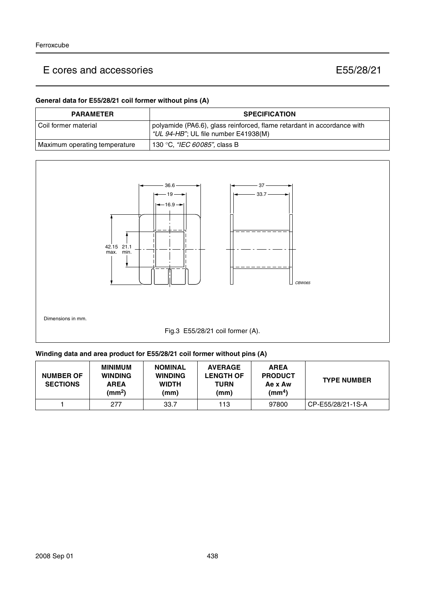### **General data for E55/28/21 coil former without pins (A)**

| <b>PARAMETER</b>              | <b>SPECIFICATION</b>                                                                                            |
|-------------------------------|-----------------------------------------------------------------------------------------------------------------|
| l Coil former material        | polyamide (PA6.6), glass reinforced, flame retardant in accordance with<br>"UL 94-HB"; UL file number E41938(M) |
| Maximum operating temperature | 130 °C, <i>"IEC 60085"</i> , class B                                                                            |



### **Winding data and area product for E55/28/21 coil former without pins (A)**

| <b>NUMBER OF</b><br><b>SECTIONS</b> | <b>MINIMUM</b><br><b>WINDING</b><br><b>AREA</b><br>(mm <sup>2</sup> ) | <b>NOMINAL</b><br><b>WINDING</b><br><b>WIDTH</b><br>(mm) | <b>AVERAGE</b><br><b>LENGTH OF</b><br>TURN<br>(mm) | <b>AREA</b><br><b>PRODUCT</b><br>Ae x Aw<br>$\text{(mm}^4)$ | <b>TYPE NUMBER</b> |
|-------------------------------------|-----------------------------------------------------------------------|----------------------------------------------------------|----------------------------------------------------|-------------------------------------------------------------|--------------------|
|                                     | 277                                                                   | 33.7                                                     | 113                                                | 97800                                                       | CP-E55/28/21-1S-A  |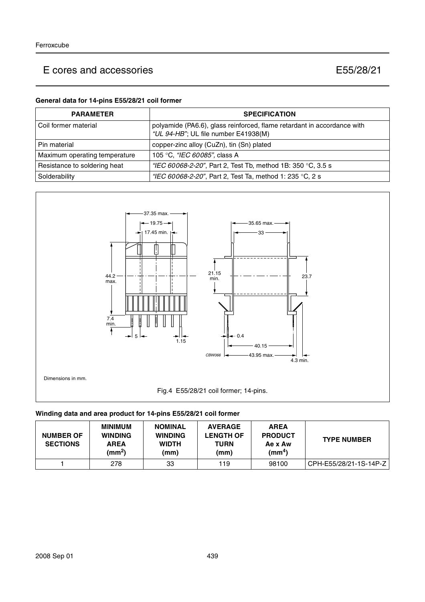### **General data for 14-pins E55/28/21 coil former**

| <b>PARAMETER</b>              | <b>SPECIFICATION</b>                                                                                            |
|-------------------------------|-----------------------------------------------------------------------------------------------------------------|
| l Coil former material        | polyamide (PA6.6), glass reinforced, flame retardant in accordance with<br>"UL 94-HB"; UL file number E41938(M) |
| l Pin material                | copper-zinc alloy (CuZn), tin (Sn) plated                                                                       |
| Maximum operating temperature | 105 °C, "IEC 60085", class A                                                                                    |
| Resistance to soldering heat  | "IEC 60068-2-20", Part 2, Test Tb, method 1B: 350 °C, 3.5 s                                                     |
| Solderability                 | "IEC 60068-2-20", Part 2, Test Ta, method 1: 235 °C, 2 s                                                        |



### **Winding data and area product for 14-pins E55/28/21 coil former**

| <b>NUMBER OF</b><br><b>SECTIONS</b> | <b>MINIMUM</b><br><b>WINDING</b><br><b>AREA</b><br>(mm <sup>2</sup> ) | <b>NOMINAL</b><br><b>WINDING</b><br><b>WIDTH</b><br>(mm) | <b>AVERAGE</b><br><b>LENGTH OF</b><br>TURN<br>(mm) | <b>AREA</b><br><b>PRODUCT</b><br>Ae x Aw<br>(mm <sup>4</sup> ) | <b>TYPE NUMBER</b>     |
|-------------------------------------|-----------------------------------------------------------------------|----------------------------------------------------------|----------------------------------------------------|----------------------------------------------------------------|------------------------|
|                                     | 278                                                                   | 33                                                       | 119                                                | 98100                                                          | CPH-E55/28/21-1S-14P-Z |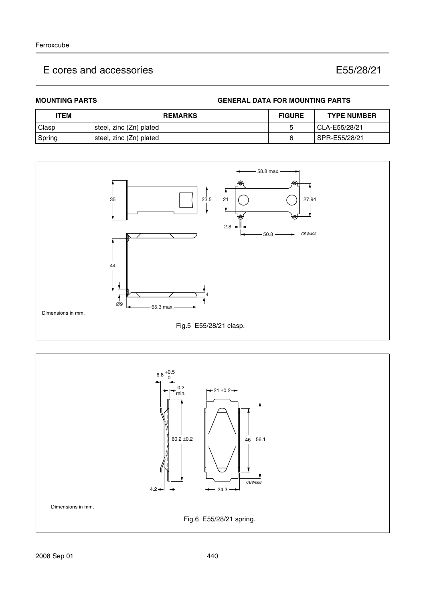### **MOUNTING PARTS GENERAL DATA FOR MOUNTING PARTS**

| <b>ITEM</b> | <b>REMARKS</b>          | <b>FIGURE</b> | <b>TYPE NUMBER</b> |
|-------------|-------------------------|---------------|--------------------|
| Clasp       | steel, zinc (Zn) plated |               | CLA-E55/28/21      |
| Spring      | steel, zinc (Zn) plated |               | SPR-E55/28/21      |